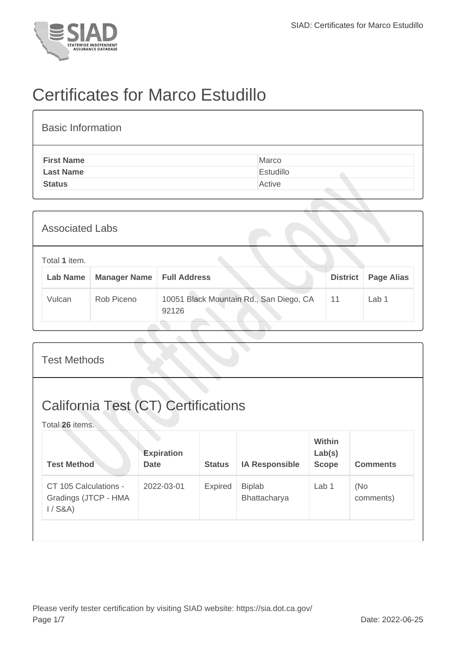

## Certificates for Marco Estudillo

| <b>Basic Information</b> |           |
|--------------------------|-----------|
| <b>First Name</b>        | Marco     |
| <b>Last Name</b>         | Estudillo |
| <b>Status</b>            | Active    |

| <b>Associated Labs</b> |                                  |                     |                                                  |                 |                   |  |
|------------------------|----------------------------------|---------------------|--------------------------------------------------|-----------------|-------------------|--|
|                        | Total 1 item.<br><b>Lab Name</b> | <b>Manager Name</b> | <b>Full Address</b>                              | <b>District</b> | <b>Page Alias</b> |  |
|                        | Vulcan                           | Rob Piceno          | 10051 Black Mountain Rd., San Diego, CA<br>92126 | 11              | Lab 1             |  |

| <b>Test Methods</b>                                           |                                  |               |                               |                                  |                  |  |  |
|---------------------------------------------------------------|----------------------------------|---------------|-------------------------------|----------------------------------|------------------|--|--|
| <b>California Test (CT) Certifications</b><br>Total 26 items. |                                  |               |                               |                                  |                  |  |  |
| <b>Test Method</b>                                            | <b>Expiration</b><br><b>Date</b> | <b>Status</b> | <b>IA Responsible</b>         | Within<br>Lab(s)<br><b>Scope</b> | <b>Comments</b>  |  |  |
| CT 105 Calculations -<br>Gradings (JTCP - HMA<br>$1/$ S&A)    | 2022-03-01                       | Expired       | <b>Biplab</b><br>Bhattacharya | Lab <sub>1</sub>                 | (No<br>comments) |  |  |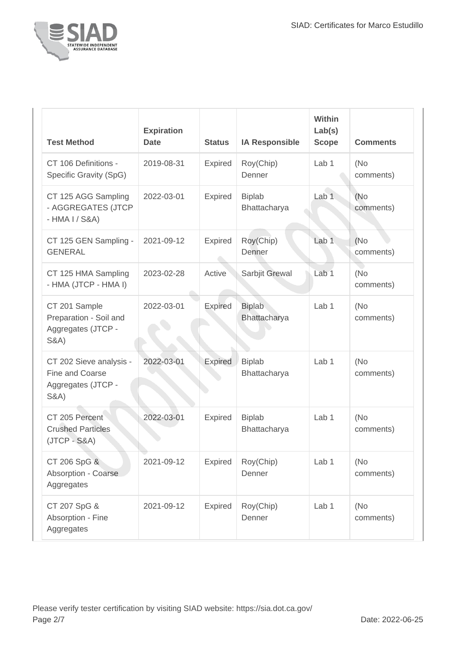

| <b>Test Method</b>                                                                   | <b>Expiration</b><br><b>Date</b> | <b>Status</b>  | <b>IA Responsible</b>         | <b>Within</b><br>Lab(s)<br><b>Scope</b> | <b>Comments</b>   |
|--------------------------------------------------------------------------------------|----------------------------------|----------------|-------------------------------|-----------------------------------------|-------------------|
| CT 106 Definitions -<br>Specific Gravity (SpG)                                       | 2019-08-31                       | <b>Expired</b> | Roy(Chip)<br>Denner           | Lab <sub>1</sub>                        | (No<br>comments)  |
| CT 125 AGG Sampling<br>- AGGREGATES (JTCP<br>$-HMA I / S&A)$                         | 2022-03-01                       | <b>Expired</b> | <b>Biplab</b><br>Bhattacharya | Lab <sub>1</sub>                        | (No<br>comments)  |
| CT 125 GEN Sampling -<br><b>GENERAL</b>                                              | 2021-09-12                       | <b>Expired</b> | Roy(Chip)<br>Denner           | Lab <sub>1</sub>                        | (No)<br>comments) |
| CT 125 HMA Sampling<br>- HMA (JTCP - HMA I)                                          | 2023-02-28                       | Active         | Sarbjit Grewal                | Lab <sub>1</sub>                        | (No<br>comments)  |
| CT 201 Sample<br>Preparation - Soil and<br>Aggregates (JTCP -<br><b>S&amp;A</b> )    | 2022-03-01                       | <b>Expired</b> | <b>Biplab</b><br>Bhattacharya | Lab <sub>1</sub>                        | (No<br>comments)  |
| CT 202 Sieve analysis -<br>Fine and Coarse<br>Aggregates (JTCP -<br><b>S&amp;A</b> ) | 2022-03-01                       | <b>Expired</b> | <b>Biplab</b><br>Bhattacharya | Lab <sub>1</sub>                        | (No<br>comments)  |
| CT 205 Percent<br><b>Crushed Particles</b><br>$(JTCP - S&A)$                         | 2022-03-01                       | <b>Expired</b> | <b>Biplab</b><br>Bhattacharya | Lab <sub>1</sub>                        | (No<br>comments)  |
| CT 206 SpG &<br>Absorption - Coarse<br>Aggregates                                    | 2021-09-12                       | <b>Expired</b> | Roy(Chip)<br>Denner           | Lab 1                                   | (No<br>comments)  |
| CT 207 SpG &<br>Absorption - Fine<br>Aggregates                                      | 2021-09-12                       | <b>Expired</b> | Roy(Chip)<br>Denner           | Lab 1                                   | (No<br>comments)  |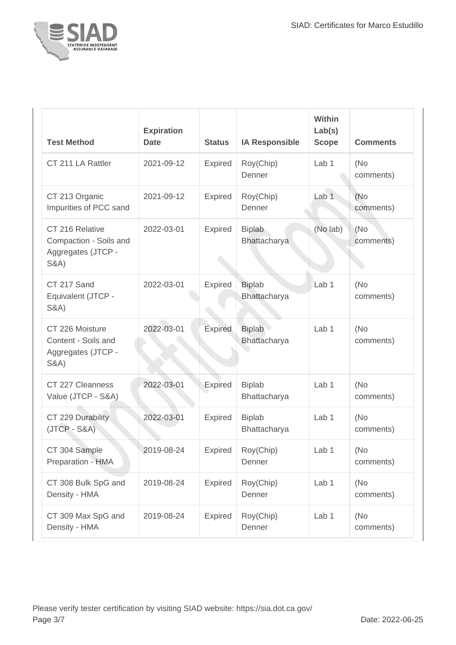

| <b>Test Method</b>                                                                 | <b>Expiration</b><br><b>Date</b> | <b>Status</b>  | <b>IA Responsible</b>         | Within<br>Lab(s)<br><b>Scope</b> | <b>Comments</b>  |
|------------------------------------------------------------------------------------|----------------------------------|----------------|-------------------------------|----------------------------------|------------------|
| CT 211 LA Rattler                                                                  | 2021-09-12                       | Expired        | Roy(Chip)<br>Denner           | Lab 1                            | (No<br>comments) |
| CT 213 Organic<br>Impurities of PCC sand                                           | 2021-09-12                       | Expired        | Roy(Chip)<br>Denner           | Lab <sub>1</sub>                 | (No<br>comments) |
| CT 216 Relative<br>Compaction - Soils and<br>Aggregates (JTCP -<br><b>S&amp;A)</b> | 2022-03-01                       | Expired        | <b>Biplab</b><br>Bhattacharya | (No lab)                         | (No<br>comments) |
| CT 217 Sand<br>Equivalent (JTCP -<br><b>S&amp;A)</b>                               | 2022-03-01                       | Expired        | <b>Biplab</b><br>Bhattacharya | Lab <sub>1</sub>                 | (No<br>comments) |
| CT 226 Moisture<br>Content - Soils and<br>Aggregates (JTCP -<br><b>S&amp;A)</b>    | 2022-03-01                       | Expired        | <b>Biplab</b><br>Bhattacharya | Lab <sub>1</sub>                 | (No<br>comments) |
| CT 227 Cleanness<br>Value (JTCP - S&A)                                             | 2022-03-01                       | Expired        | <b>Biplab</b><br>Bhattacharya | Lab <sub>1</sub>                 | (No<br>comments) |
| CT 229 Durability<br>$(JTCP - S&A)$                                                | 2022-03-01                       | Expired        | <b>Biplab</b><br>Bhattacharya | Lab 1                            | (No<br>comments) |
| CT 304 Sample<br>Preparation - HMA                                                 | 2019-08-24                       | <b>Expired</b> | Roy(Chip)<br>Denner           | Lab 1                            | (No<br>comments) |
| CT 308 Bulk SpG and<br>Density - HMA                                               | 2019-08-24                       | Expired        | Roy(Chip)<br>Denner           | Lab 1                            | (No<br>comments) |
| CT 309 Max SpG and<br>Density - HMA                                                | 2019-08-24                       | <b>Expired</b> | Roy(Chip)<br>Denner           | Lab 1                            | (No<br>comments) |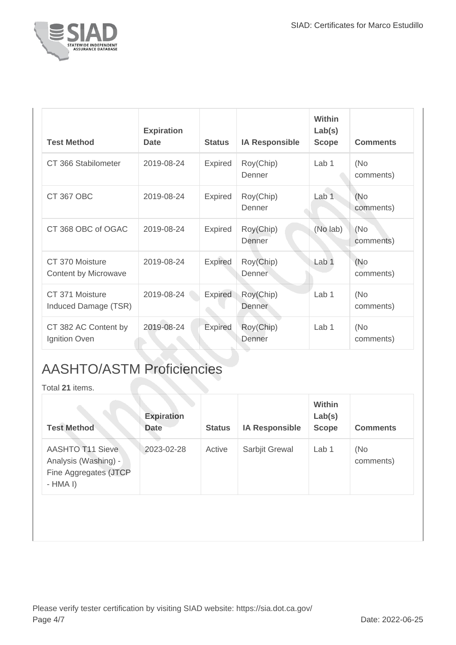

| <b>Test Method</b>                      | <b>Expiration</b><br><b>Date</b> | <b>Status</b>  | <b>IA Responsible</b>      | <b>Within</b><br>Lab(s)<br><b>Scope</b> | <b>Comments</b>   |
|-----------------------------------------|----------------------------------|----------------|----------------------------|-----------------------------------------|-------------------|
| CT 366 Stabilometer                     | 2019-08-24                       | <b>Expired</b> | Roy(Chip)<br>Denner        | Lab 1                                   | (No<br>comments)  |
| <b>CT 367 OBC</b>                       | 2019-08-24                       | <b>Expired</b> | Roy(Chip)<br>Denner        | Lab 1                                   | (No<br>comments)  |
| CT 368 OBC of OGAC                      | 2019-08-24                       | Expired        | Roy(Chip)<br>Denner        | (No lab)                                | (No<br>comments)  |
| CT 370 Moisture<br>Content by Microwave | 2019-08-24                       | <b>Expired</b> | Roy(Chip)<br>Denner        | Lab <sub>1</sub>                        | (No)<br>comments) |
| CT 371 Moisture<br>Induced Damage (TSR) | 2019-08-24                       | <b>Expired</b> | Roy(Chip)<br><b>Denner</b> | Lab 1                                   | (No<br>comments)  |
| CT 382 AC Content by<br>Ignition Oven   | 2019-08-24                       | <b>Expired</b> | Roy(Chip)<br>Denner        | Lab 1                                   | (No<br>comments)  |

## AASHTO/ASTM Proficiencies

Total **21** items.

| <b>Test Method</b>                                                                    | <b>Expiration</b><br><b>Date</b> | <b>Status</b> | <b>IA Responsible</b> | Within<br>Lab(s)<br><b>Scope</b> | <b>Comments</b>  |
|---------------------------------------------------------------------------------------|----------------------------------|---------------|-----------------------|----------------------------------|------------------|
| <b>AASHTO T11 Sieve</b><br>Analysis (Washing) -<br>Fine Aggregates (JTCP<br>$-HMA I)$ | 2023-02-28                       | Active        | Sarbjit Grewal        | Lab <sub>1</sub>                 | (No<br>comments) |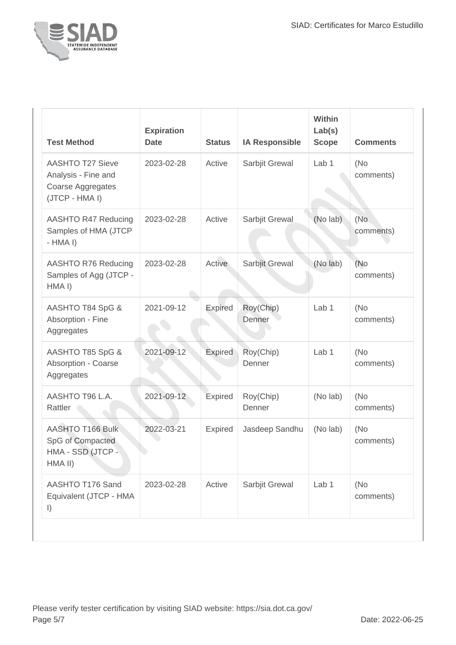

| <b>Test Method</b>                                                                    | <b>Expiration</b><br><b>Date</b> | <b>Status</b>  | <b>IA Responsible</b> | Within<br>Lab(s)<br><b>Scope</b> | <b>Comments</b>  |
|---------------------------------------------------------------------------------------|----------------------------------|----------------|-----------------------|----------------------------------|------------------|
| <b>AASHTO T27 Sieve</b><br>Analysis - Fine and<br>Coarse Aggregates<br>(JTCP - HMA I) | 2023-02-28                       | Active         | Sarbjit Grewal        | Lab <sub>1</sub>                 | (No<br>comments) |
| <b>AASHTO R47 Reducing</b><br>Samples of HMA (JTCP<br>$-HMA I)$                       | 2023-02-28                       | Active         | Sarbjit Grewal        | (No lab)                         | (No<br>comments) |
| <b>AASHTO R76 Reducing</b><br>Samples of Agg (JTCP -<br>HMAI)                         | 2023-02-28                       | Active         | Sarbjit Grewal        | (No lab)                         | (No<br>comments) |
| AASHTO T84 SpG &<br>Absorption - Fine<br>Aggregates                                   | 2021-09-12                       | Expired        | Roy(Chip)<br>Denner   | Lab <sub>1</sub>                 | (No<br>comments) |
| AASHTO T85 SpG &<br><b>Absorption - Coarse</b><br>Aggregates                          | 2021-09-12                       | Expired        | Roy(Chip)<br>Denner   | Lab 1                            | (No<br>comments) |
| AASHTO T96 L.A.<br>Rattler                                                            | 2021-09-12                       | Expired        | Roy(Chip)<br>Denner   | (No lab)                         | (No<br>comments) |
| <b>AASHTO T166 Bulk</b><br>SpG of Compacted<br>HMA - SSD (JTCP -<br>HMA II)           | 2022-03-21                       | <b>Expired</b> | Jasdeep Sandhu        | (No lab)                         | (No<br>comments) |
| AASHTO T176 Sand<br>Equivalent (JTCP - HMA<br>$\vert$                                 | 2023-02-28                       | Active         | Sarbjit Grewal        | Lab 1                            | (No<br>comments) |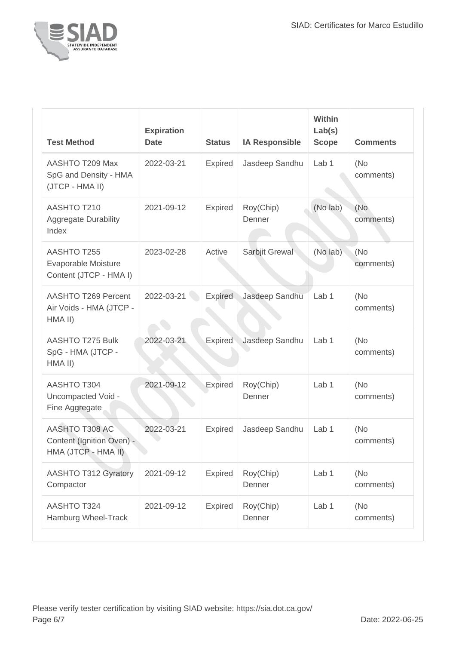

| <b>Test Method</b>                                                 | <b>Expiration</b><br><b>Date</b> | <b>Status</b>  | <b>IA Responsible</b> | <b>Within</b><br>Lab(s)<br><b>Scope</b> | <b>Comments</b>  |
|--------------------------------------------------------------------|----------------------------------|----------------|-----------------------|-----------------------------------------|------------------|
| AASHTO T209 Max<br>SpG and Density - HMA<br>(JTCP - HMA II)        | 2022-03-21                       | Expired        | Jasdeep Sandhu        | Lab <sub>1</sub>                        | (No<br>comments) |
| AASHTO T210<br><b>Aggregate Durability</b><br>Index                | 2021-09-12                       | <b>Expired</b> | Roy(Chip)<br>Denner   | (No lab)                                | (No<br>comments) |
| AASHTO T255<br>Evaporable Moisture<br>Content (JTCP - HMA I)       | 2023-02-28                       | Active         | Sarbjit Grewal        | (No lab)                                | (No<br>comments) |
| AASHTO T269 Percent<br>Air Voids - HMA (JTCP -<br>HMA II)          | 2022-03-21                       | <b>Expired</b> | Jasdeep Sandhu        | Lab <sub>1</sub>                        | (No<br>comments) |
| <b>AASHTO T275 Bulk</b><br>SpG - HMA (JTCP -<br>HMA II)            | 2022-03-21                       | <b>Expired</b> | Jasdeep Sandhu        | Lab <sub>1</sub>                        | (No<br>comments) |
| <b>AASHTO T304</b><br>Uncompacted Void -<br>Fine Aggregate         | 2021-09-12                       | <b>Expired</b> | Roy(Chip)<br>Denner   | Lab <sub>1</sub>                        | (No<br>comments) |
| AASHTO T308 AC<br>Content (Ignition Oven) -<br>HMA (JTCP - HMA II) | 2022-03-21                       | Expired        | Jasdeep Sandhu        | Lab 1                                   | (No<br>comments) |
| <b>AASHTO T312 Gyratory</b><br>Compactor                           | 2021-09-12                       | <b>Expired</b> | Roy(Chip)<br>Denner   | Lab <sub>1</sub>                        | (No<br>comments) |
| <b>AASHTO T324</b><br>Hamburg Wheel-Track                          | 2021-09-12                       | <b>Expired</b> | Roy(Chip)<br>Denner   | Lab 1                                   | (No<br>comments) |